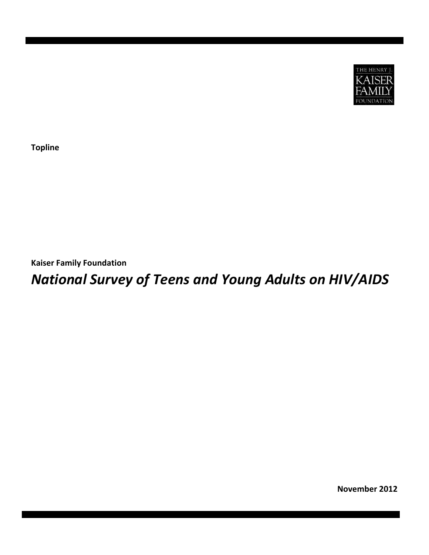

**Topline**

**Kaiser Family Foundation**

# *National Survey of Teens and Young Adults on HIV/AIDS*

**November 2012**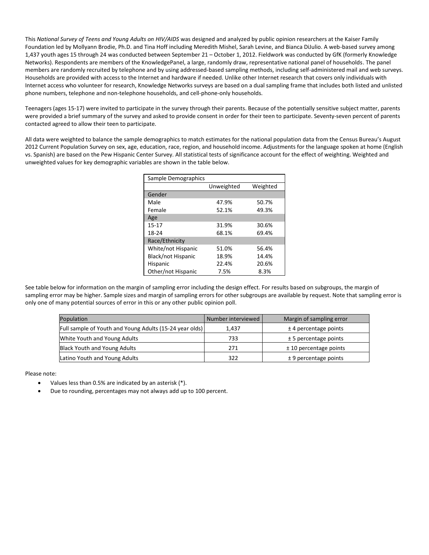This *National Survey of Teens and Young Adults on HIV/AIDS* was designed and analyzed by public opinion researchers at the Kaiser Family Foundation led by Mollyann Brodie, Ph.D. and Tina Hoff including Meredith Mishel, Sarah Levine, and Bianca DiJulio. A web-based survey among 1,437 youth ages 15 through 24 was conducted between September 21 – October 1, 2012. Fieldwork was conducted by GfK (formerly Knowledge Networks). Respondents are members of the KnowledgePanel, a large, randomly draw, representative national panel of households. The panel members are randomly recruited by telephone and by using addressed-based sampling methods, including self-administered mail and web surveys. Households are provided with access to the Internet and hardware if needed. Unlike other Internet research that covers only individuals with Internet access who volunteer for research, Knowledge Networks surveys are based on a dual sampling frame that includes both listed and unlisted phone numbers, telephone and non-telephone households, and cell-phone-only households.

Teenagers (ages 15-17) were invited to participate in the survey through their parents. Because of the potentially sensitive subject matter, parents were provided a brief summary of the survey and asked to provide consent in order for their teen to participate. Seventy-seven percent of parents contacted agreed to allow their teen to participate.

All data were weighted to balance the sample demographics to match estimates for the national population data from the Census Bureau's August 2012 Current Population Survey on sex, age, education, race, region, and household income. Adjustments for the language spoken at home (English vs. Spanish) are based on the Pew Hispanic Center Survey. All statistical tests of significance account for the effect of weighting. Weighted and unweighted values for key demographic variables are shown in the table below.

| Sample Demographics       |            |          |
|---------------------------|------------|----------|
|                           | Unweighted | Weighted |
| Gender                    |            |          |
| Male                      | 47.9%      | 50.7%    |
| Female                    | 52.1%      | 49.3%    |
| Age                       |            |          |
| $15 - 17$                 | 31.9%      | 30.6%    |
| 18-24                     | 68.1%      | 69.4%    |
| Race/Ethnicity            |            |          |
| White/not Hispanic        | 51.0%      | 56.4%    |
| <b>Black/not Hispanic</b> | 18.9%      | 14.4%    |
| Hispanic                  | 22.4%      | 20.6%    |
| Other/not Hispanic        | 7.5%       | 8.3%     |

See table below for information on the margin of sampling error including the design effect. For results based on subgroups, the margin of sampling error may be higher. Sample sizes and margin of sampling errors for other subgroups are available by request. Note that sampling error is only one of many potential sources of error in this or any other public opinion poll.

| Population                                              | Number interviewed | Margin of sampling error |
|---------------------------------------------------------|--------------------|--------------------------|
| Full sample of Youth and Young Adults (15-24 year olds) | 1.437              | $±$ 4 percentage points  |
| White Youth and Young Adults                            | 733                | $± 5$ percentage points  |
| Black Youth and Young Adults                            | 271                | $±$ 10 percentage points |
| Latino Youth and Young Adults                           | 322                | $± 9$ percentage points  |

Please note:

- Values less than 0.5% are indicated by an asterisk (\*).
- Due to rounding, percentages may not always add up to 100 percent.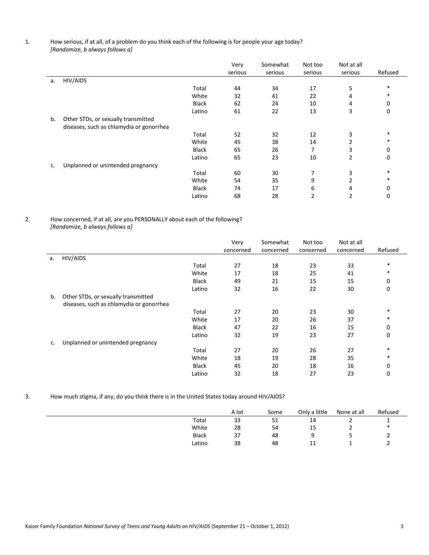## 1. How serious, if at all, of a problem do you think each of the following is for people your age today?  *[Randomize, b always follows a]*

|    |                                          |              | Very<br>serious | Somewhat<br>serious | Not too<br>serious | Not at all<br>serious | Refused |
|----|------------------------------------------|--------------|-----------------|---------------------|--------------------|-----------------------|---------|
| a. | HIV/AIDS                                 |              |                 |                     |                    |                       |         |
|    |                                          | Total        | 44              | 34                  | 17                 | 5                     | $\ast$  |
|    |                                          | White        | 32              | 41                  | 22                 | 4                     | $\ast$  |
|    |                                          | Black        | 62              | 24                  | 10                 | 4                     | 0       |
|    |                                          | Latino       | 61              | 22                  | 13                 | 3                     | 0       |
| b. | Other STDs, or sexually transmitted      |              |                 |                     |                    |                       |         |
|    | diseases, such as chlamydia or gonorrhea |              |                 |                     |                    |                       |         |
|    |                                          | Total        | 52              | 32                  | 12                 | 3                     | $\ast$  |
|    |                                          | White        | 45              | 38                  | 14                 | $\overline{2}$        | $\ast$  |
|    |                                          | <b>Black</b> | 65              | 26                  |                    | 3                     | 0       |
|    |                                          | Latino       | 65              | 23                  | 10                 | 2                     | 0       |
| c. | Unplanned or unintended pregnancy        |              |                 |                     |                    |                       |         |
|    |                                          | Total        | 60              | 30                  | 7                  | 3                     | $\ast$  |
|    |                                          | White        | 54              | 35                  | 9                  | 2                     | $\ast$  |
|    |                                          | <b>Black</b> | 74              | 17                  | 6                  | 4                     | 0       |
|    |                                          | Latino       | 68              | 28                  | 2                  | 2                     | 0       |

## 2. How concerned, if at all, are you PERSONALLY about each of the following? *[Randomize, b always follows a]*

|    |                                          |              | Very      | Somewhat  | Not too   | Not at all |         |
|----|------------------------------------------|--------------|-----------|-----------|-----------|------------|---------|
|    |                                          |              | concerned | concerned | concerned | concerned  | Refused |
| a. | HIV/AIDS                                 |              |           |           |           |            |         |
|    |                                          | Total        | 27        | 18        | 23        | 33         | $\ast$  |
|    |                                          | White        | 17        | 18        | 25        | 41         | $\ast$  |
|    |                                          | <b>Black</b> | 49        | 21        | 15        | 15         | 0       |
|    |                                          | Latino       | 32        | 16        | 22        | 30         | 0       |
| b. | Other STDs, or sexually transmitted      |              |           |           |           |            |         |
|    | diseases, such as chlamydia or gonorrhea |              |           |           |           |            |         |
|    |                                          | Total        | 27        | 20        | 23        | 30         | $\ast$  |
|    |                                          | White        | 17        | 20        | 26        | 37         | *       |
|    |                                          | Black        | 47        | 22        | 16        | 15         | 0       |
|    |                                          | Latino       | 32        | 19        | 23        | 27         | 0       |
| c. | Unplanned or unintended pregnancy        |              |           |           |           |            |         |
|    |                                          | Total        | 27        | 20        | 26        | 27         | $\ast$  |
|    |                                          | White        | 18        | 19        | 28        | 35         | $\ast$  |
|    |                                          | <b>Black</b> | 45        | 20        | 18        | 16         | 0       |
|    |                                          | Latino       | 32        | 18        | 27        | 23         | 0       |

## 3. How much stigma, if any, do you think there is in the United States today around HIV/AIDS?

|              | A lot | Some | Only a little | None at all | Refused |
|--------------|-------|------|---------------|-------------|---------|
| Total        | 33    | 51   | 14            |             |         |
| White        | 28    | 54   | 15            |             | ∗       |
| <b>Black</b> | 37    | 48   | a             |             | -       |
| Latino       | 38    | 48   | 11            |             |         |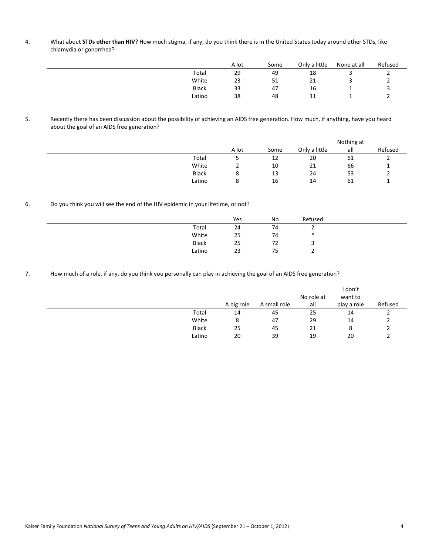4. What about **STDs other than HIV**? How much stigma, if any, do you think there is in the United States today around other STDs, like chlamydia or gonorrhea?

|              | A lot | Some | Only a little | None at all | Refused |
|--------------|-------|------|---------------|-------------|---------|
| Total        | 29    | 49   | 18            |             | -       |
| White        | 23    | 51   | 21            |             |         |
| <b>Black</b> | 33    | 47   | 16            | ≖           |         |
| Latino       | 38    | 48   | 11            |             |         |

5. Recently there has been discussion about the possibility of achieving an AIDS free generation. How much, if anything, have you heard about the goal of an AIDS free generation?

|              |        |      |               | Nothing at |         |
|--------------|--------|------|---------------|------------|---------|
|              | A lot  | Some | Only a little | all        | Refused |
| Total        |        | 12   | 20            | 61         | -       |
| White        | _      | 10   | 21            | 66         |         |
| <b>Black</b> | ດ<br>۰ | 13   | 24            | 53         | -       |
| Latino       | ດ<br>٥ | 16   | 14            | 61         |         |

6. Do you think you will see the end of the HIV epidemic in your lifetime, or not?

|        | Yes | No | Refused |  |
|--------|-----|----|---------|--|
| Total  | 24  | 74 |         |  |
| White  | 25  | 74 | ∗       |  |
| Black  | 25  | 72 |         |  |
| Latino | 23  | 75 |         |  |

7. How much of a role, if any, do you think you personally can play in achieving the goal of an AIDS free generation?

|              |            |              |            | l don't     |         |
|--------------|------------|--------------|------------|-------------|---------|
|              |            |              | No role at | want to     |         |
|              | A big role | A small role | all        | play a role | Refused |
| Total        | 14         | 45           | 25         | 14          |         |
| White        | 8          | 47           | 29         | 14          |         |
| <b>Black</b> | 25         | 45           | 21         | 8           |         |
| Latino       | 20         | 39           | 19         | 20          |         |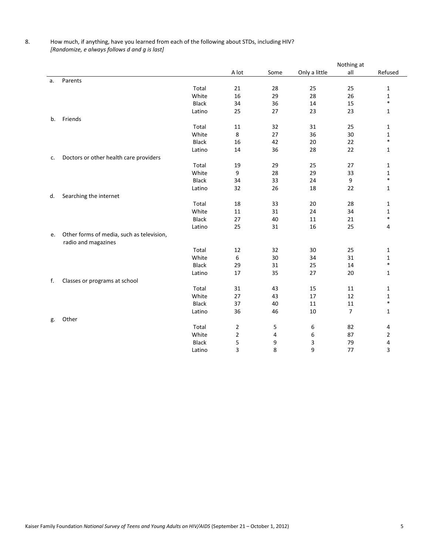# 8. How much, if anything, have you learned from each of the following about STDs, including HIV? *[Randomize, e always follows d and g is last]*

|    |                                           |              |                |      |               | Nothing at     |              |
|----|-------------------------------------------|--------------|----------------|------|---------------|----------------|--------------|
|    |                                           |              | A lot          | Some | Only a little | all            | Refused      |
| a. | Parents                                   |              |                |      |               |                |              |
|    |                                           | Total        | 21             | 28   | 25            | 25             | 1            |
|    |                                           | White        | 16             | 29   | 28            | 26             | $\mathbf{1}$ |
|    |                                           | <b>Black</b> | 34             | 36   | 14            | 15             | $\ast$       |
|    |                                           | Latino       | 25             | 27   | 23            | 23             | 1            |
| b. | Friends                                   |              |                |      |               |                |              |
|    |                                           | Total        | 11             | 32   | 31            | 25             | 1            |
|    |                                           | White        | 8              | 27   | 36            | 30             | 1            |
|    |                                           | <b>Black</b> | 16             | 42   | 20            | 22             | $\ast$       |
|    |                                           | Latino       | 14             | 36   | 28            | 22             | 1            |
| c. | Doctors or other health care providers    |              |                |      |               |                |              |
|    |                                           | Total        | 19             | 29   | 25            | 27             | 1            |
|    |                                           | White        | 9              | 28   | 29            | 33             | 1            |
|    |                                           | <b>Black</b> | 34             | 33   | 24            | 9              | $\ast$       |
|    |                                           | Latino       | 32             | 26   | 18            | 22             | 1            |
| d. | Searching the internet                    |              |                |      |               |                |              |
|    |                                           | Total        | 18             | 33   | 20            | 28             | 1            |
|    |                                           | White        | 11             | 31   | 24            | 34             | 1            |
|    |                                           | <b>Black</b> | 27             | 40   | 11            | 21             | $\ast$       |
|    |                                           | Latino       | 25             | 31   | 16            | 25             | 4            |
| е. | Other forms of media, such as television, |              |                |      |               |                |              |
|    | radio and magazines                       |              |                |      |               |                |              |
|    |                                           | Total        | 12             | 32   | 30            | 25             | 1            |
|    |                                           | White        | 6              | 30   | 34            | 31             | 1            |
|    |                                           | <b>Black</b> | 29             | 31   | 25            | 14             | $\ast$       |
|    |                                           | Latino       | 17             | 35   | 27            | 20             | 1            |
| f. | Classes or programs at school             |              |                |      |               |                |              |
|    |                                           | Total        | 31             | 43   | 15            | 11             | 1            |
|    |                                           | White        | 27             | 43   | 17            | 12             | $\mathbf 1$  |
|    |                                           | <b>Black</b> | 37             | 40   | 11            | 11             | $\ast$       |
|    |                                           | Latino       | 36             | 46   | 10            | $\overline{7}$ | 1            |
| g. | Other                                     |              |                |      |               |                |              |
|    |                                           | Total        | $\overline{2}$ | 5    | 6             | 82             | 4            |
|    |                                           | White        | $\overline{2}$ | 4    | 6             | 87             | 2            |
|    |                                           | <b>Black</b> | 5              | 9    | 3             | 79             | 4            |
|    |                                           | Latino       | 3              | 8    | 9             | 77             | 3            |
|    |                                           |              |                |      |               |                |              |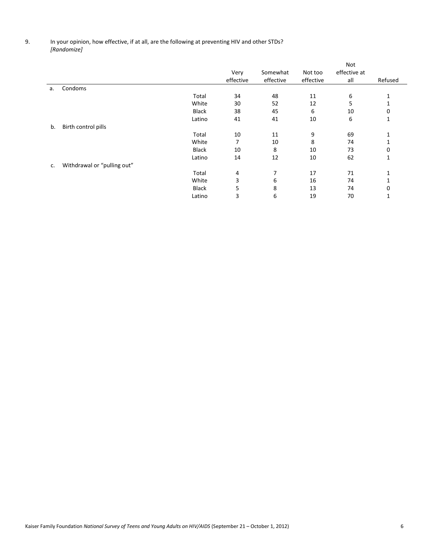## 9. In your opinion, how effective, if at all, are the following at preventing HIV and other STDs? *[Randomize]*

|    |                             |              |           |           |           | Not          |          |
|----|-----------------------------|--------------|-----------|-----------|-----------|--------------|----------|
|    |                             |              | Very      | Somewhat  | Not too   | effective at |          |
|    |                             |              | effective | effective | effective | all          | Refused  |
| а. | Condoms                     |              |           |           |           |              |          |
|    |                             | Total        | 34        | 48        | 11        | 6            | 1        |
|    |                             | White        | 30        | 52        | 12        | 5            |          |
|    |                             | <b>Black</b> | 38        | 45        | 6         | 10           | 0        |
|    |                             | Latino       | 41        | 41        | 10        | 6            | 1        |
| b. | Birth control pills         |              |           |           |           |              |          |
|    |                             | Total        | 10        | 11        | 9         | 69           | 1        |
|    |                             | White        |           | 10        | 8         | 74           | 1        |
|    |                             | Black        | 10        | 8         | 10        | 73           | 0        |
|    |                             | Latino       | 14        | 12        | 10        | 62           | 1        |
| c. | Withdrawal or "pulling out" |              |           |           |           |              |          |
|    |                             | Total        | 4         | 7         | 17        | 71           |          |
|    |                             | White        | 3         | 6         | 16        | 74           |          |
|    |                             | <b>Black</b> | 5         | 8         | 13        | 74           | $\Omega$ |
|    |                             | Latino       | 3         | 6         | 19        | 70           |          |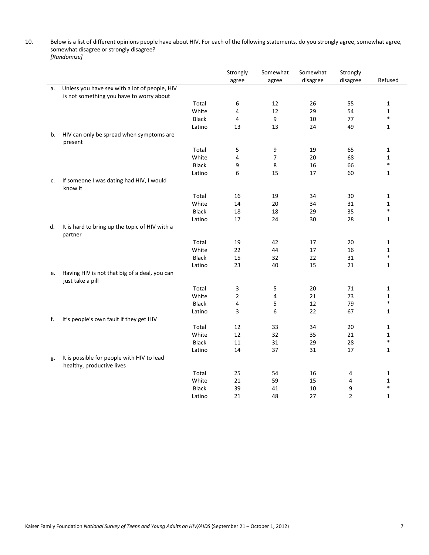10. Below is a list of different opinions people have about HIV. For each of the following statements, do you strongly agree, somewhat agree, somewhat disagree or strongly disagree? *[Randomize]* 

|    |                                                                         |              | Strongly<br>agree | Somewhat<br>agree | Somewhat<br>disagree | Strongly<br>disagree | Refused      |
|----|-------------------------------------------------------------------------|--------------|-------------------|-------------------|----------------------|----------------------|--------------|
| a. | Unless you have sex with a lot of people, HIV                           |              |                   |                   |                      |                      |              |
|    | is not something you have to worry about                                |              |                   |                   |                      |                      |              |
|    |                                                                         | Total        | 6                 | 12                | 26                   | 55                   | $\mathbf{1}$ |
|    |                                                                         | White        | 4                 | 12                | 29                   | 54                   | $\mathbf{1}$ |
|    |                                                                         | <b>Black</b> | 4                 | 9                 | 10                   | 77                   | $\ast$       |
|    |                                                                         | Latino       | 13                | 13                | 24                   | 49                   | $\mathbf{1}$ |
| b. | HIV can only be spread when symptoms are<br>present                     |              |                   |                   |                      |                      |              |
|    |                                                                         | Total        | 5                 | 9                 | 19                   | 65                   | $\mathbf{1}$ |
|    |                                                                         | White        | 4                 | $\overline{7}$    | 20                   | 68                   | $\mathbf{1}$ |
|    |                                                                         | <b>Black</b> | 9                 | 8                 | 16                   | 66                   | $\ast$       |
|    |                                                                         | Latino       | 6                 | 15                | 17                   | 60                   | $\mathbf{1}$ |
| c. | If someone I was dating had HIV, I would<br>know it                     |              |                   |                   |                      |                      |              |
|    |                                                                         | Total        | 16                | 19                | 34                   | 30                   | 1            |
|    |                                                                         | White        | 14                | 20                | 34                   | 31                   | $\mathbf 1$  |
|    |                                                                         | Black        | 18                | 18                | 29                   | 35                   | $\ast$       |
|    |                                                                         | Latino       | 17                | 24                | 30                   | 28                   | $\mathbf{1}$ |
| d. | It is hard to bring up the topic of HIV with a<br>partner               |              |                   |                   |                      |                      |              |
|    |                                                                         | Total        | 19                | 42                | 17                   | 20                   | 1            |
|    |                                                                         | White        | 22                | 44                | 17                   | 16                   | $\mathbf{1}$ |
|    |                                                                         | <b>Black</b> | 15                | 32                | 22                   | 31                   | $\ast$       |
|    |                                                                         | Latino       | 23                | 40                | 15                   | 21                   | $\mathbf{1}$ |
| e. | Having HIV is not that big of a deal, you can<br>just take a pill       |              |                   |                   |                      |                      |              |
|    |                                                                         | Total        | 3                 | 5                 | 20                   | 71                   | $\mathbf{1}$ |
|    |                                                                         | White        | $\overline{2}$    | 4                 | 21                   | 73                   | 1            |
|    |                                                                         | <b>Black</b> | 4                 | 5                 | 12                   | 79                   | $\ast$       |
|    |                                                                         | Latino       | 3                 | 6                 | 22                   | 67                   | $\mathbf{1}$ |
| f. | It's people's own fault if they get HIV                                 |              |                   |                   |                      |                      |              |
|    |                                                                         | Total        | 12                | 33                | 34                   | 20                   | 1            |
|    |                                                                         | White        | 12                | 32                | 35                   | 21                   | $\mathbf{1}$ |
|    |                                                                         | <b>Black</b> | 11                | 31                | 29                   | 28                   | $\ast$       |
|    |                                                                         | Latino       | 14                | 37                | 31                   | 17                   | $\mathbf{1}$ |
| g. | It is possible for people with HIV to lead<br>healthy, productive lives |              |                   |                   |                      |                      |              |
|    |                                                                         | Total        | 25                | 54                | 16                   | 4                    | $\mathbf 1$  |
|    |                                                                         | White        | 21                | 59                | 15                   | $\overline{4}$       | $\mathbf{1}$ |
|    |                                                                         | <b>Black</b> | 39                | 41                | 10                   | 9                    | $\ast$       |
|    |                                                                         | Latino       | 21                | 48                | 27                   | $\overline{2}$       | $\mathbf{1}$ |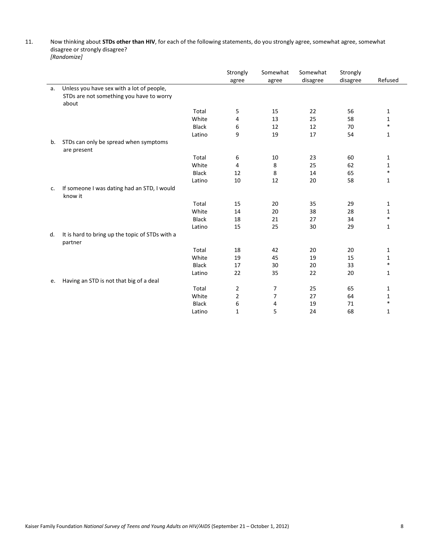## 11. Now thinking about **STDs other than HIV**, for each of the following statements, do you strongly agree, somewhat agree, somewhat disagree or strongly disagree? *[Randomize]*

|    |                                                            |              | Strongly       | Somewhat | Somewhat | Strongly |              |
|----|------------------------------------------------------------|--------------|----------------|----------|----------|----------|--------------|
|    |                                                            |              | agree          | agree    | disagree | disagree | Refused      |
| a. | Unless you have sex with a lot of people,                  |              |                |          |          |          |              |
|    | STDs are not something you have to worry                   |              |                |          |          |          |              |
|    | about                                                      |              |                |          |          |          |              |
|    |                                                            | Total        | 5              | 15       | 22       | 56       | 1            |
|    |                                                            | White        | 4              | 13       | 25       | 58       | 1            |
|    |                                                            | <b>Black</b> | 6              | 12       | 12       | 70       | $\ast$       |
|    |                                                            | Latino       | 9              | 19       | 17       | 54       | $\mathbf{1}$ |
| b. | STDs can only be spread when symptoms<br>are present       |              |                |          |          |          |              |
|    |                                                            | Total        | 6              | 10       | 23       | 60       | 1            |
|    |                                                            | White        | 4              | 8        | 25       | 62       | 1            |
|    |                                                            | <b>Black</b> | 12             | 8        | 14       | 65       | $\ast$       |
|    |                                                            | Latino       | 10             | 12       | 20       | 58       | 1            |
| c. | If someone I was dating had an STD, I would<br>know it     |              |                |          |          |          |              |
|    |                                                            | Total        | 15             | 20       | 35       | 29       | 1            |
|    |                                                            | White        | 14             | 20       | 38       | 28       | 1            |
|    |                                                            | <b>Black</b> | 18             | 21       | 27       | 34       | $\ast$       |
|    |                                                            | Latino       | 15             | 25       | 30       | 29       | 1            |
| d. | It is hard to bring up the topic of STDs with a<br>partner |              |                |          |          |          |              |
|    |                                                            | Total        | 18             | 42       | 20       | 20       | 1            |
|    |                                                            | White        | 19             | 45       | 19       | 15       | 1            |
|    |                                                            | <b>Black</b> | 17             | 30       | 20       | 33       | $\ast$       |
|    |                                                            | Latino       | 22             | 35       | 22       | 20       | 1            |
| e. | Having an STD is not that big of a deal                    |              |                |          |          |          |              |
|    |                                                            | Total        | $\overline{2}$ | 7        | 25       | 65       | 1            |
|    |                                                            | White        | $\overline{2}$ | 7        | 27       | 64       | 1            |
|    |                                                            | <b>Black</b> | 6              | 4        | 19       | 71       | $\ast$       |
|    |                                                            | Latino       | $\mathbf{1}$   | 5        | 24       | 68       | 1            |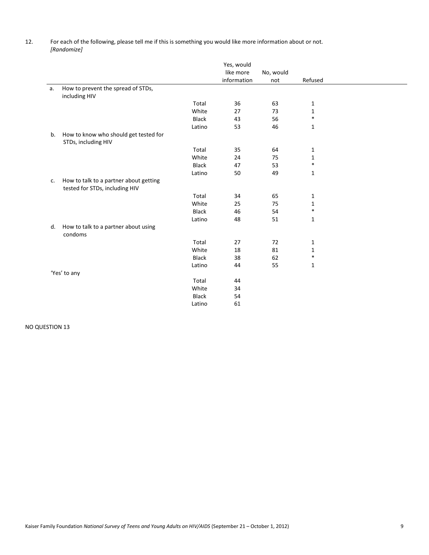12. For each of the following, please tell me if this is something you would like more information about or not. *[Randomize]* 

|    |                                                                          |              | Yes, would<br>like more<br>information | No, would<br>not | Refused      |  |
|----|--------------------------------------------------------------------------|--------------|----------------------------------------|------------------|--------------|--|
| a. | How to prevent the spread of STDs,<br>including HIV                      |              |                                        |                  |              |  |
|    |                                                                          | Total        | 36                                     | 63               | 1            |  |
|    |                                                                          | White        | 27                                     | 73               | 1            |  |
|    |                                                                          | <b>Black</b> | 43                                     | 56               | $\ast$       |  |
|    |                                                                          | Latino       | 53                                     | 46               | 1            |  |
| b. | How to know who should get tested for<br>STDs, including HIV             |              |                                        |                  |              |  |
|    |                                                                          | Total        | 35                                     | 64               | $\mathbf{1}$ |  |
|    |                                                                          | White        | 24                                     | 75               | $1\,$        |  |
|    |                                                                          | <b>Black</b> | 47                                     | 53               | $\ast$       |  |
|    |                                                                          | Latino       | 50                                     | 49               | $\mathbf{1}$ |  |
| c. | How to talk to a partner about getting<br>tested for STDs, including HIV |              |                                        |                  |              |  |
|    |                                                                          | Total        | 34                                     | 65               | 1            |  |
|    |                                                                          | White        | 25                                     | 75               | 1            |  |
|    |                                                                          | <b>Black</b> | 46                                     | 54               | $\ast$       |  |
|    |                                                                          | Latino       | 48                                     | 51               | $\mathbf{1}$ |  |
| d. | How to talk to a partner about using<br>condoms                          |              |                                        |                  |              |  |
|    |                                                                          | Total        | 27                                     | 72               | 1            |  |
|    |                                                                          | White        | 18                                     | 81               | $\mathbf{1}$ |  |
|    |                                                                          | <b>Black</b> | 38                                     | 62               | $\ast$       |  |
|    |                                                                          | Latino       | 44                                     | 55               | $1\,$        |  |
|    | 'Yes' to any                                                             |              |                                        |                  |              |  |
|    |                                                                          | Total        | 44                                     |                  |              |  |
|    |                                                                          | White        | 34                                     |                  |              |  |
|    |                                                                          | <b>Black</b> | 54                                     |                  |              |  |
|    |                                                                          | Latino       | 61                                     |                  |              |  |

NO QUESTION 13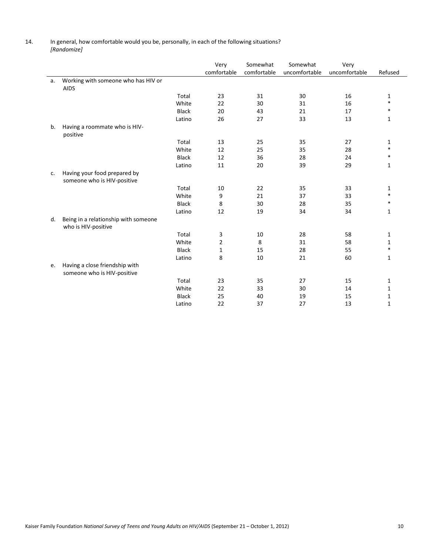14. In general, how comfortable would you be, personally, in each of the following situations? *[Randomize]* 

|    |                                                               |              | Very           | Somewhat    | Somewhat      | Very          |         |
|----|---------------------------------------------------------------|--------------|----------------|-------------|---------------|---------------|---------|
|    |                                                               |              | comfortable    | comfortable | uncomfortable | uncomfortable | Refused |
| a. | Working with someone who has HIV or<br><b>AIDS</b>            |              |                |             |               |               |         |
|    |                                                               | Total        | 23             | 31          | 30            | 16            | 1       |
|    |                                                               | White        | 22             | 30          | 31            | 16            | $\ast$  |
|    |                                                               | <b>Black</b> | 20             | 43          | 21            | 17            | $\ast$  |
|    |                                                               | Latino       | 26             | 27          | 33            | 13            | 1       |
| b. | Having a roommate who is HIV-                                 |              |                |             |               |               |         |
|    | positive                                                      |              |                |             |               |               |         |
|    |                                                               | Total        | 13             | 25          | 35            | 27            | 1       |
|    |                                                               | White        | 12             | 25          | 35            | 28            | $\ast$  |
|    |                                                               | <b>Black</b> | 12             | 36          | 28            | 24            | $\ast$  |
|    |                                                               | Latino       | 11             | 20          | 39            | 29            | 1       |
| c. | Having your food prepared by<br>someone who is HIV-positive   |              |                |             |               |               |         |
|    |                                                               | Total        | 10             | 22          | 35            | 33            | 1       |
|    |                                                               | White        | 9              | 21          | 37            | 33            | $\ast$  |
|    |                                                               | <b>Black</b> | 8              | 30          | 28            | 35            | $\ast$  |
|    |                                                               | Latino       | 12             | 19          | 34            | 34            | 1       |
| d. | Being in a relationship with someone<br>who is HIV-positive   |              |                |             |               |               |         |
|    |                                                               | Total        | 3              | 10          | 28            | 58            | 1       |
|    |                                                               | White        | $\overline{2}$ | 8           | 31            | 58            | 1       |
|    |                                                               | <b>Black</b> | $\mathbf{1}$   | 15          | 28            | 55            | $\ast$  |
|    |                                                               | Latino       | 8              | 10          | 21            | 60            | 1       |
| e. | Having a close friendship with<br>someone who is HIV-positive |              |                |             |               |               |         |
|    |                                                               | Total        | 23             | 35          | 27            | 15            | 1       |
|    |                                                               | White        | 22             | 33          | 30            | 14            | 1       |
|    |                                                               | <b>Black</b> | 25             | 40          | 19            | 15            | 1       |
|    |                                                               | Latino       | 22             | 37          | 27            | 13            | 1       |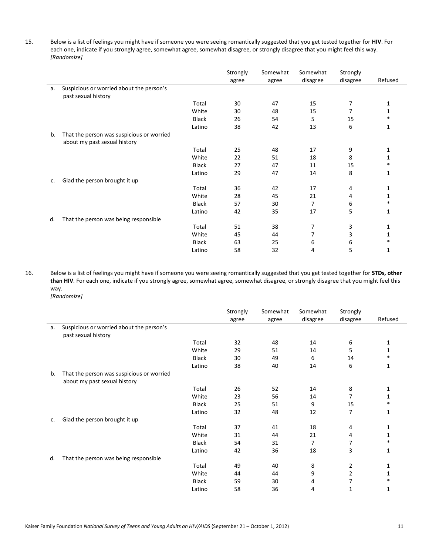15. Below is a list of feelings you might have if someone you were seeing romantically suggested that you get tested together for **HIV**. For each one, indicate if you strongly agree, somewhat agree, somewhat disagree, or strongly disagree that you might feel this way. *[Randomize]* 

|    |                                           |              | Strongly | Somewhat | Somewhat | Strongly |         |
|----|-------------------------------------------|--------------|----------|----------|----------|----------|---------|
|    |                                           |              | agree    | agree    | disagree | disagree | Refused |
| a. | Suspicious or worried about the person's  |              |          |          |          |          |         |
|    | past sexual history                       |              |          |          |          |          |         |
|    |                                           | Total        | 30       | 47       | 15       | 7        | 1       |
|    |                                           | White        | 30       | 48       | 15       | 7        | 1       |
|    |                                           | Black        | 26       | 54       | 5        | 15       | $\ast$  |
|    |                                           | Latino       | 38       | 42       | 13       | 6        | 1       |
| b. | That the person was suspicious or worried |              |          |          |          |          |         |
|    | about my past sexual history              |              |          |          |          |          |         |
|    |                                           | Total        | 25       | 48       | 17       | 9        | 1       |
|    |                                           | White        | 22       | 51       | 18       | 8        | 1       |
|    |                                           | Black        | 27       | 47       | 11       | 15       | *       |
|    |                                           | Latino       | 29       | 47       | 14       | 8        | 1       |
| c. | Glad the person brought it up             |              |          |          |          |          |         |
|    |                                           | Total        | 36       | 42       | 17       | 4        | 1       |
|    |                                           | White        | 28       | 45       | 21       | 4        | 1       |
|    |                                           | <b>Black</b> | 57       | 30       | 7        | 6        | *       |
|    |                                           | Latino       | 42       | 35       | 17       | 5        | 1       |
| d. | That the person was being responsible     |              |          |          |          |          |         |
|    |                                           | Total        | 51       | 38       | 7        | 3        | 1       |
|    |                                           | White        | 45       | 44       | 7        | 3        | 1       |
|    |                                           | <b>Black</b> | 63       | 25       | 6        | 6        | *       |
|    |                                           | Latino       | 58       | 32       | 4        | 5        | 1       |

16. Below is a list of feelings you might have if someone you were seeing romantically suggested that you get tested together for **STDs, other than HIV**. For each one, indicate if you strongly agree, somewhat agree, somewhat disagree, or strongly disagree that you might feel this way. *[Randomize]* 

| lRando |  |
|--------|--|

|    |                                           |              | Strongly | Somewhat | Somewhat | Strongly       |              |
|----|-------------------------------------------|--------------|----------|----------|----------|----------------|--------------|
|    |                                           |              | agree    | agree    | disagree | disagree       | Refused      |
| a. | Suspicious or worried about the person's  |              |          |          |          |                |              |
|    | past sexual history                       |              |          |          |          |                |              |
|    |                                           | Total        | 32       | 48       | 14       | 6              | 1            |
|    |                                           | White        | 29       | 51       | 14       | 5              | $\mathbf{1}$ |
|    |                                           | Black        | 30       | 49       | 6        | 14             | $\ast$       |
|    |                                           | Latino       | 38       | 40       | 14       | 6              | 1            |
| b. | That the person was suspicious or worried |              |          |          |          |                |              |
|    | about my past sexual history              |              |          |          |          |                |              |
|    |                                           | Total        | 26       | 52       | 14       | 8              | 1            |
|    |                                           | White        | 23       | 56       | 14       | 7              | 1            |
|    |                                           | <b>Black</b> | 25       | 51       | 9        | 15             | 冰            |
|    |                                           | Latino       | 32       | 48       | 12       | 7              | 1            |
| c. | Glad the person brought it up             |              |          |          |          |                |              |
|    |                                           | Total        | 37       | 41       | 18       | 4              | 1            |
|    |                                           | White        | 31       | 44       | 21       | 4              | 1            |
|    |                                           | <b>Black</b> | 54       | 31       | 7        | 7              | $\ast$       |
|    |                                           | Latino       | 42       | 36       | 18       | 3              | 1            |
| d. | That the person was being responsible     |              |          |          |          |                |              |
|    |                                           | Total        | 49       | 40       | 8        | $\overline{2}$ | 1            |
|    |                                           | White        | 44       | 44       | 9        | $\overline{2}$ | 1            |
|    |                                           | <b>Black</b> | 59       | 30       | 4        |                |              |
|    |                                           | Latino       | 58       | 36       | 4        | 1              | 1            |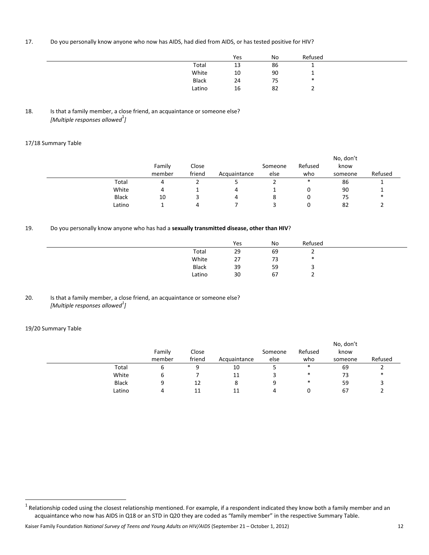## 17. Do you personally know anyone who now has AIDS, had died from AIDS, or has tested positive for HIV?

|              | Yes | No | Refused |  |
|--------------|-----|----|---------|--|
| Total        | 13  | 86 |         |  |
| White        | 10  | 90 |         |  |
| <b>Black</b> | 24  | 75 | $\ast$  |  |
| Latino       | 16  | 82 |         |  |

## 18. Is that a family member, a close friend, an acquaintance or someone else? *[Multiple responses allowed*<sup>1</sup> *]*

## 17/18 Summary Table

|              | Family<br>member | Close<br>friend | Acquaintance | Someone<br>else | Refused<br>who | No, don't<br>know<br>someone | Refused |
|--------------|------------------|-----------------|--------------|-----------------|----------------|------------------------------|---------|
| Total        | 4                |                 |              |                 | *              | 86                           |         |
| White        | 4                |                 | 4            |                 |                | 90                           |         |
| <b>Black</b> | 10               |                 | 4            |                 |                | 75                           | *       |
| Latino       |                  |                 |              |                 |                | 82                           |         |

# 19. Do you personally know anyone who has had a **sexually transmitted disease, other than HIV**?

|        | Yes | No | Refused |  |
|--------|-----|----|---------|--|
| Total  | 29  | 69 | -       |  |
| White  | 27  | 73 | *       |  |
| Black  | 39  | 59 |         |  |
| Latino | 30  | 67 | -       |  |
|        |     |    |         |  |

## 20. Is that a family member, a close friend, an acquaintance or someone else? *[Multiple responses allowed<sup>1</sup> ]*

## 19/20 Summary Table

|              |        |        |              |         |         | No, don't |         |
|--------------|--------|--------|--------------|---------|---------|-----------|---------|
|              | Family | Close  |              | Someone | Refused | know      |         |
|              | member | friend | Acquaintance | else    | who     | someone   | Refused |
| Total        | υ      | c      | 10           | ◡       | $\ast$  | 69        | ∼       |
| White        |        |        | 11           |         | $\ast$  | 73        | *       |
| <b>Black</b> |        | 12     | 8            | 9       | $\ast$  | 59        |         |
| Latino       |        | 11     |              | 4       |         | 67        |         |

 $^1$  Relationship coded using the closest relationship mentioned. For example, if a respondent indicated they know both a family member and an  $^1$ acquaintance who now has AIDS in Q18 or an STD in Q20 they are coded as "family member" in the respective Summary Table.

Kaiser Family Foundation *National Survey of Teens and Young Adults on HIV/AIDS* (September 21 – October 1, 2012) 12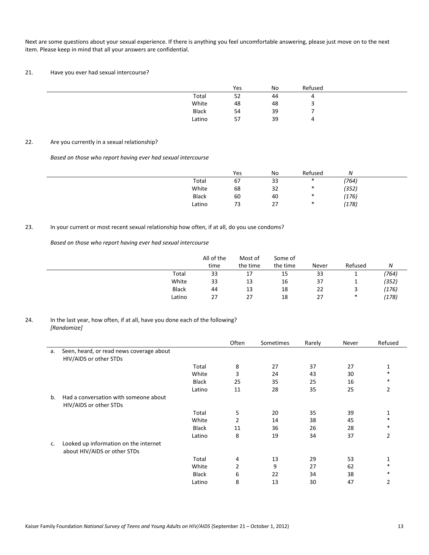Next are some questions about your sexual experience. If there is anything you feel uncomfortable answering, please just move on to the next item. Please keep in mind that all your answers are confidential.

## 21. Have you ever had sexual intercourse?

|              | Yes | No | Refused |  |
|--------------|-----|----|---------|--|
| Total        | 52  | 44 |         |  |
| White        | 48  | 48 |         |  |
| <b>Black</b> | 54  | 39 |         |  |
| Latino       | 57  | 39 |         |  |

#### 22. Are you currently in a sexual relationship?

*Based on those who report having ever had sexual intercourse* 

|              | Yes | No | Refused | N     |  |
|--------------|-----|----|---------|-------|--|
| Total        | 67  | 33 | ∗       | (764) |  |
| White        | 68  | 32 | ∗       | (352) |  |
| <b>Black</b> | 60  | 40 | *       | (176) |  |
| Latino       | 73  | 27 | *       | (178) |  |

## 23. In your current or most recent sexual relationship how often, if at all, do you use condoms?

*Based on those who report having ever had sexual intercourse* 

|              | All of the<br>time | Most of<br>the time | Some of<br>the time | Never | Refused | N     |
|--------------|--------------------|---------------------|---------------------|-------|---------|-------|
| Total        | 33                 | 17                  | 15                  | 33    |         | (764) |
| White        | 33                 | 13                  | 16                  | 37    | <b></b> | (352) |
| <b>Black</b> | 44                 | 13                  | 18                  | 22    |         | (176) |
| Latino       | 27                 | 27                  | 18                  | 27    | $\ast$  | (178) |

#### 24. In the last year, how often, if at all, have you done each of the following? *[Randomize]*

|    |                                          |              | Often          | Sometimes | Rarely | Never | Refused        |
|----|------------------------------------------|--------------|----------------|-----------|--------|-------|----------------|
| a. | Seen, heard, or read news coverage about |              |                |           |        |       |                |
|    | HIV/AIDS or other STDs                   |              |                |           |        |       |                |
|    |                                          | Total        | 8              | 27        | 37     | 27    | 1              |
|    |                                          | White        | 3              | 24        | 43     | 30    | *              |
|    |                                          | <b>Black</b> | 25             | 35        | 25     | 16    | *              |
|    |                                          | Latino       | 11             | 28        | 35     | 25    | 2              |
| b. | Had a conversation with someone about    |              |                |           |        |       |                |
|    | HIV/AIDS or other STDs                   |              |                |           |        |       |                |
|    |                                          | Total        | 5              | 20        | 35     | 39    | 1              |
|    |                                          | White        | 2              | 14        | 38     | 45    | *              |
|    |                                          | <b>Black</b> | 11             | 36        | 26     | 28    | *              |
|    |                                          | Latino       | 8              | 19        | 34     | 37    | 2              |
| c. | Looked up information on the internet    |              |                |           |        |       |                |
|    | about HIV/AIDS or other STDs             |              |                |           |        |       |                |
|    |                                          | Total        | 4              | 13        | 29     | 53    | 1              |
|    |                                          | White        | $\overline{2}$ | 9         | 27     | 62    | *              |
|    |                                          | <b>Black</b> | 6              | 22        | 34     | 38    | *              |
|    |                                          | Latino       | 8              | 13        | 30     | 47    | $\overline{2}$ |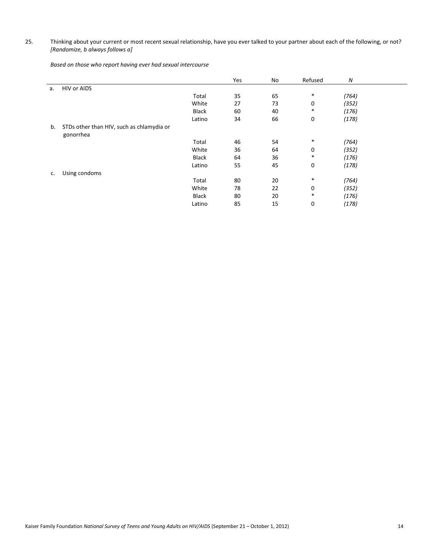25. Thinking about your current or most recent sexual relationship, have you ever talked to your partner about each of the following, or not? *[Randomize, b always follows a]* 

*Based on those who report having ever had sexual intercourse* 

|    |                                           |        | Yes | No | Refused     | N     |  |
|----|-------------------------------------------|--------|-----|----|-------------|-------|--|
| a. | HIV or AIDS                               |        |     |    |             |       |  |
|    |                                           | Total  | 35  | 65 | *           | (764) |  |
|    |                                           | White  | 27  | 73 | 0           | (352) |  |
|    |                                           | Black  | 60  | 40 | $\ast$      | (176) |  |
|    |                                           | Latino | 34  | 66 | $\mathbf 0$ | (178) |  |
| b. | STDs other than HIV, such as chlamydia or |        |     |    |             |       |  |
|    | gonorrhea                                 |        |     |    |             |       |  |
|    |                                           | Total  | 46  | 54 | $\ast$      | (764) |  |
|    |                                           | White  | 36  | 64 | 0           | (352) |  |
|    |                                           | Black  | 64  | 36 | $\ast$      | (176) |  |
|    |                                           | Latino | 55  | 45 | $\mathbf 0$ | (178) |  |
| c. | Using condoms                             |        |     |    |             |       |  |
|    |                                           | Total  | 80  | 20 | $\ast$      | (764) |  |
|    |                                           | White  | 78  | 22 | 0           | (352) |  |
|    |                                           | Black  | 80  | 20 | $\ast$      | (176) |  |
|    |                                           | Latino | 85  | 15 | $\mathbf 0$ | (178) |  |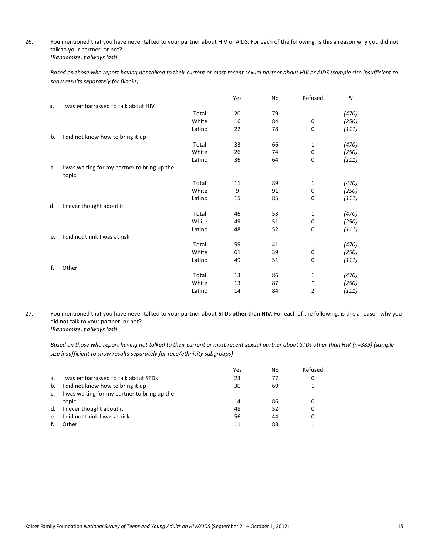### 26. You mentioned that you have never talked to your partner about HIV or AIDS. For each of the following, is this a reason why you did not talk to your partner, or not? *[Randomize, f always last]*

 *Based on those who report having not talked to their current or most recent sexual partner about HIV or AIDS (sample size insufficient to show results separately for Blacks)* 

|    |                                                       |        | Yes | No | Refused      | N     |  |
|----|-------------------------------------------------------|--------|-----|----|--------------|-------|--|
| a. | I was embarrassed to talk about HIV                   |        |     |    |              |       |  |
|    |                                                       | Total  | 20  | 79 | $\mathbf{1}$ | (470) |  |
|    |                                                       | White  | 16  | 84 | $\pmb{0}$    | (250) |  |
|    |                                                       | Latino | 22  | 78 | $\mathbf 0$  | (111) |  |
| b. | I did not know how to bring it up                     |        |     |    |              |       |  |
|    |                                                       | Total  | 33  | 66 | $\mathbf{1}$ | (470) |  |
|    |                                                       | White  | 26  | 74 | $\pmb{0}$    | (250) |  |
|    |                                                       | Latino | 36  | 64 | 0            | (111) |  |
| c. | I was waiting for my partner to bring up the<br>topic |        |     |    |              |       |  |
|    |                                                       | Total  | 11  | 89 | $\mathbf{1}$ | (470) |  |
|    |                                                       | White  | 9   | 91 | $\pmb{0}$    | (250) |  |
|    |                                                       | Latino | 15  | 85 | 0            | (111) |  |
| d. | I never thought about it                              |        |     |    |              |       |  |
|    |                                                       | Total  | 46  | 53 | $\mathbf{1}$ | (470) |  |
|    |                                                       | White  | 49  | 51 | $\pmb{0}$    | (250) |  |
|    |                                                       | Latino | 48  | 52 | 0            | (111) |  |
| e. | did not think I was at risk                           |        |     |    |              |       |  |
|    |                                                       | Total  | 59  | 41 | 1            | (470) |  |
|    |                                                       | White  | 61  | 39 | $\mathbf 0$  | (250) |  |
|    |                                                       | Latino | 49  | 51 | 0            | (111) |  |
| f. | Other                                                 |        |     |    |              |       |  |
|    |                                                       | Total  | 13  | 86 | 1            | (470) |  |
|    |                                                       | White  | 13  | 87 | *            | (250) |  |
|    |                                                       | Latino | 14  | 84 | 2            | (111) |  |

27. You mentioned that you have never talked to your partner about **STDs other than HIV**. For each of the following, is this a reason why you did not talk to your partner, or not?

*[Randomize, f always last]* 

 *Based on those who report having not talked to their current or most recent sexual partner about STDs other than HIV (n=389) (sample size insufficient to show results separately for race/ethnicity subgroups)* 

|                |                                              | Yes | No | Refused |  |
|----------------|----------------------------------------------|-----|----|---------|--|
| a.             | I was embarrassed to talk about STDs         | 23  |    |         |  |
| b.             | I did not know how to bring it up            | 30  | 69 |         |  |
| $\mathsf{c}$ . | I was waiting for my partner to bring up the |     |    |         |  |
|                | topic                                        | 14  | 86 |         |  |
| d.             | I never thought about it                     | 48  | 52 |         |  |
| e.             | I did not think I was at risk                | 56  | 44 |         |  |
|                | Other                                        |     | 88 |         |  |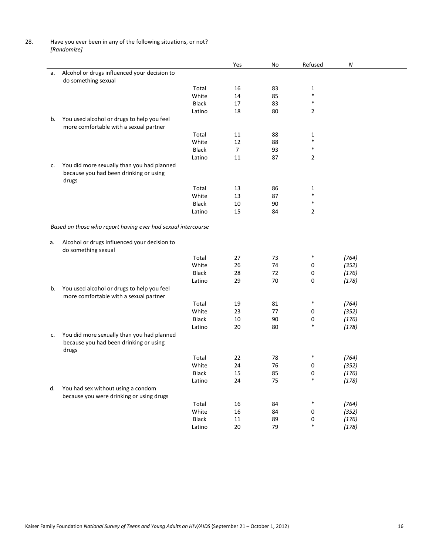28. Have you ever been in any of the following situations, or not? *[Randomize]* 

|    |                                                              |              | Yes            | No | Refused        | Ν     |  |
|----|--------------------------------------------------------------|--------------|----------------|----|----------------|-------|--|
| a. | Alcohol or drugs influenced your decision to                 |              |                |    |                |       |  |
|    | do something sexual                                          |              |                |    |                |       |  |
|    |                                                              | Total        | 16             | 83 | 1              |       |  |
|    |                                                              | White        | 14             | 85 | $\ast$         |       |  |
|    |                                                              | <b>Black</b> | 17             | 83 | $\ast$         |       |  |
|    |                                                              | Latino       | 18             | 80 | $\overline{2}$ |       |  |
| b. | You used alcohol or drugs to help you feel                   |              |                |    |                |       |  |
|    | more comfortable with a sexual partner                       |              |                |    |                |       |  |
|    |                                                              | Total        | 11             | 88 | 1              |       |  |
|    |                                                              | White        | 12             | 88 | $\ast$         |       |  |
|    |                                                              | <b>Black</b> | $\overline{7}$ | 93 | $\ast$         |       |  |
|    |                                                              | Latino       | 11             | 87 | $\overline{2}$ |       |  |
|    |                                                              |              |                |    |                |       |  |
| c. | You did more sexually than you had planned                   |              |                |    |                |       |  |
|    | because you had been drinking or using                       |              |                |    |                |       |  |
|    | drugs                                                        |              |                |    |                |       |  |
|    |                                                              | Total        | 13             | 86 | 1<br>$\ast$    |       |  |
|    |                                                              | White        | 13             | 87 |                |       |  |
|    |                                                              | <b>Black</b> | 10             | 90 | $\ast$         |       |  |
|    |                                                              | Latino       | 15             | 84 | $\overline{2}$ |       |  |
|    |                                                              |              |                |    |                |       |  |
|    | Based on those who report having ever had sexual intercourse |              |                |    |                |       |  |
|    |                                                              |              |                |    |                |       |  |
| а. | Alcohol or drugs influenced your decision to                 |              |                |    |                |       |  |
|    | do something sexual                                          |              |                |    |                |       |  |
|    |                                                              | Total        | 27             | 73 | $\ast$         | (764) |  |
|    |                                                              | White        | 26             | 74 | 0              | (352) |  |
|    |                                                              | <b>Black</b> | 28             | 72 | 0              | (176) |  |
|    |                                                              | Latino       | 29             | 70 | 0              | (178) |  |
| b. | You used alcohol or drugs to help you feel                   |              |                |    |                |       |  |
|    | more comfortable with a sexual partner                       |              |                |    |                |       |  |
|    |                                                              | Total        | 19             | 81 | $\ast$         | (764) |  |
|    |                                                              | White        | 23             | 77 | 0              | (352) |  |
|    |                                                              | <b>Black</b> | 10             | 90 | 0              | (176) |  |
|    |                                                              | Latino       | 20             | 80 | $\ast$         | (178) |  |
| c. | You did more sexually than you had planned                   |              |                |    |                |       |  |
|    | because you had been drinking or using                       |              |                |    |                |       |  |
|    | drugs                                                        |              |                |    |                |       |  |
|    |                                                              | Total        | 22             | 78 |                | (764) |  |
|    |                                                              | White        | 24             | 76 | 0              | (352) |  |
|    |                                                              | <b>Black</b> | 15             | 85 | 0              | (176) |  |
|    |                                                              | Latino       | 24             | 75 |                | (178) |  |
| d. | You had sex without using a condom                           |              |                |    |                |       |  |
|    | because you were drinking or using drugs                     |              |                |    |                |       |  |
|    |                                                              | Total        | 16             | 84 | $\ast$         | (764) |  |
|    |                                                              | White        | 16             | 84 | 0              | (352) |  |
|    |                                                              | <b>Black</b> | 11             | 89 |                | (176) |  |
|    |                                                              |              | 20             | 79 | 0<br>$\ast$    |       |  |
|    |                                                              | Latino       |                |    |                | (178) |  |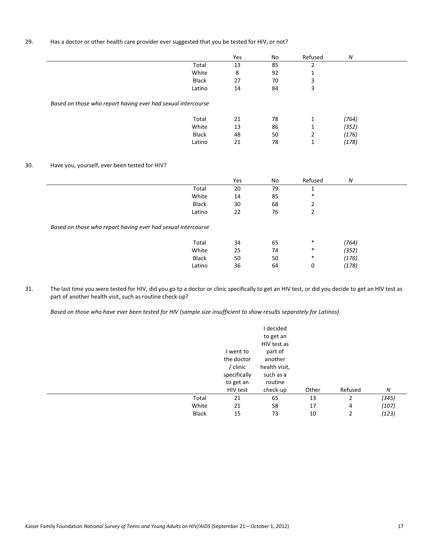## 29. Has a doctor or other health care provider ever suggested that you be tested for HIV, or not?

|                                                              | Yes | No | Refused | N     |  |
|--------------------------------------------------------------|-----|----|---------|-------|--|
| Total                                                        | 13  | 85 | ำ       |       |  |
| White                                                        | 8   | 92 | 1       |       |  |
| <b>Black</b>                                                 | 27  | 70 | 3       |       |  |
| Latino                                                       | 14  | 84 | 3       |       |  |
| Based on those who report having ever had sexual intercourse |     |    |         |       |  |
| Total                                                        | 21  | 78 | 1       | (764) |  |
| White                                                        | 13  | 86 | 1       | (352) |  |
| Black                                                        | 48  | 50 | 2       | (176) |  |
| Latino                                                       | 21  | 78 | 1       | (178) |  |

## 30. Have you, yourself, ever been tested for HIV?

|                                                              |              | Yes | No | Refused | N     |
|--------------------------------------------------------------|--------------|-----|----|---------|-------|
|                                                              | Total        | 20  | 79 |         |       |
|                                                              | White        | 14  | 85 | $\ast$  |       |
|                                                              | <b>Black</b> | 30  | 68 | 2       |       |
|                                                              | Latino       | 22  | 76 | 2       |       |
| Based on those who report having ever had sexual intercourse | Total        | 34  | 65 | $\ast$  | (764) |
|                                                              | White        | 25  | 74 | $\ast$  | (352) |
|                                                              | Black        | 50  | 50 | $\ast$  | (176) |
|                                                              | Latino       | 36  | 64 | 0       | (178) |

31. The last time you were tested for HIV, did you go to a doctor or clinic specifically to get an HIV test, or did you decide to get an HIV test as part of another health visit, such as routine check-up?

 *Based on those who have ever been tested for HIV (sample size insufficient to show results separately for Latinos)* 

|              |              | I decided     |       |         |       |
|--------------|--------------|---------------|-------|---------|-------|
|              |              | to get an     |       |         |       |
|              |              | HIV test as   |       |         |       |
|              | I went to    | part of       |       |         |       |
|              | the doctor   | another       |       |         |       |
|              | / clinic     | health visit, |       |         |       |
|              | specifically | such as a     |       |         |       |
|              | to get an    | routine       |       |         |       |
|              | HIV test     | check-up      | Other | Refused | N     |
| Total        | 21           | 65            | 13    | 2       | (345) |
| White        | 21           | 58            | 17    | 4       | (107) |
| <b>Black</b> | 15           | 73            | 10    | 2       | (123) |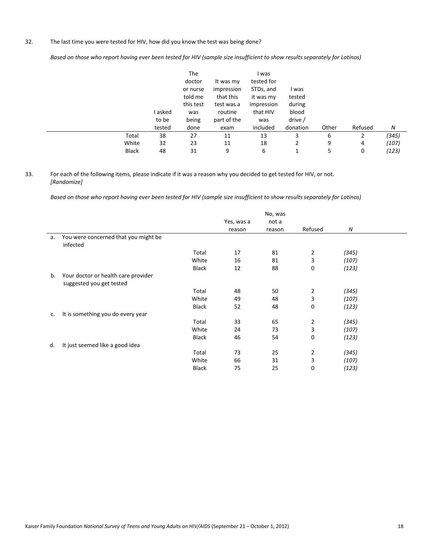## 32. The last time you were tested for HIV, how did you know the test was being done?

 *Based on those who report having ever been tested for HIV (sample size insufficient to show results separately for Latinos)* 

|              | l asked<br>to be<br>tested | The<br>doctor<br>or nurse<br>told me<br>this test<br>was<br>being<br>done | It was my<br>impression<br>that this<br>test was a<br>routine<br>part of the<br>exam | l was<br>tested for<br>STDs, and<br>it was my<br>impression<br>that HIV<br>was<br>included | l was<br>tested<br>during<br>blood<br>drive /<br>donation | Other | Refused | N     |
|--------------|----------------------------|---------------------------------------------------------------------------|--------------------------------------------------------------------------------------|--------------------------------------------------------------------------------------------|-----------------------------------------------------------|-------|---------|-------|
| Total        | 38                         | 27                                                                        | 11                                                                                   | 13                                                                                         | 3                                                         | 6     | 2       | (345) |
| White        | 32                         | 23                                                                        | 11                                                                                   | 18                                                                                         |                                                           | 9     | 4       | (107) |
| <b>Black</b> | 48                         | 31                                                                        | 9                                                                                    | 6                                                                                          | 1                                                         | 5     | 0       | (123) |

33. For each of the following items, please indicate if it was a reason why you decided to get tested for HIV, or not. *[Randomize]* 

 *Based on those who report having ever been tested for HIV (sample size insufficient to show results separately for Latinos)* 

|    |                                                                 |              |                      | No, was         |                |       |  |
|----|-----------------------------------------------------------------|--------------|----------------------|-----------------|----------------|-------|--|
|    |                                                                 |              | Yes, was a<br>reason | not a<br>reason | Refused        | N     |  |
| а. | You were concerned that you might be<br>infected                |              |                      |                 |                |       |  |
|    |                                                                 | Total        | 17                   | 81              | $\overline{2}$ | (345) |  |
|    |                                                                 | White        | 16                   | 81              | 3              | (107) |  |
|    |                                                                 | Black        | 12                   | 88              | 0              | (123) |  |
| b. | Your doctor or health care provider<br>suggested you get tested |              |                      |                 |                |       |  |
|    |                                                                 | Total        | 48                   | 50              | $\overline{2}$ | (345) |  |
|    |                                                                 | White        | 49                   | 48              | 3              | (107) |  |
|    |                                                                 | <b>Black</b> | 52                   | 48              | 0              | (123) |  |
| c. | It is something you do every year                               |              |                      |                 |                |       |  |
|    |                                                                 | Total        | 33                   | 65              | $\overline{2}$ | (345) |  |
|    |                                                                 | White        | 24                   | 73              | 3              | (107) |  |
|    |                                                                 | <b>Black</b> | 46                   | 54              | 0              | (123) |  |
| d. | It just seemed like a good idea                                 |              |                      |                 |                |       |  |
|    |                                                                 | Total        | 73                   | 25              | $\overline{2}$ | (345) |  |
|    |                                                                 | White        | 66                   | 31              | 3              | (107) |  |
|    |                                                                 | <b>Black</b> | 75                   | 25              | 0              | (123) |  |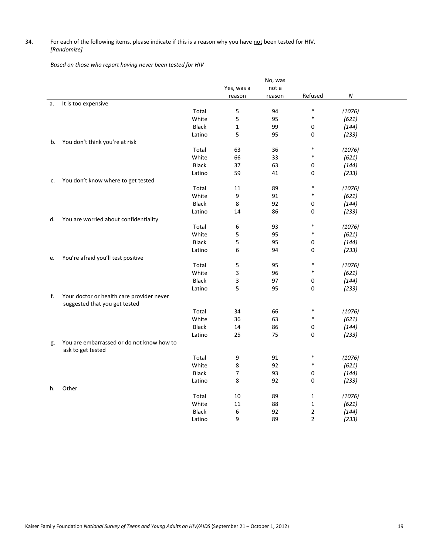## 34. For each of the following items, please indicate if this is a reason why you have not been tested for HIV. *[Randomize]*

*Based on those who report having never been tested for HIV* 

|    |                                                                            |              |              | No, was |                |                  |  |
|----|----------------------------------------------------------------------------|--------------|--------------|---------|----------------|------------------|--|
|    |                                                                            |              | Yes, was a   | not a   |                |                  |  |
|    |                                                                            |              | reason       | reason  | Refused        | $\boldsymbol{N}$ |  |
| а. | It is too expensive                                                        |              |              |         |                |                  |  |
|    |                                                                            | Total        | 5            | 94      | $\ast$         | (1076)           |  |
|    |                                                                            | White        | 5            | 95      | $\ast$         | (621)            |  |
|    |                                                                            | <b>Black</b> | $\mathbf{1}$ | 99      | 0              | (144)            |  |
|    |                                                                            | Latino       | 5            | 95      | 0              | (233)            |  |
| b. | You don't think you're at risk                                             |              |              |         |                |                  |  |
|    |                                                                            | Total        | 63           | 36      | $\ast$         | (1076)           |  |
|    |                                                                            | White        | 66           | 33      | $\ast$         | (621)            |  |
|    |                                                                            | <b>Black</b> | 37           | 63      | 0              | (144)            |  |
|    |                                                                            | Latino       | 59           | 41      | 0              | (233)            |  |
| c. | You don't know where to get tested                                         |              |              |         |                |                  |  |
|    |                                                                            | Total        | 11           | 89      | *              | (1076)           |  |
|    |                                                                            | White        | 9            | 91      | *              | (621)            |  |
|    |                                                                            | <b>Black</b> | 8            | 92      | 0              | (144)            |  |
|    |                                                                            | Latino       | 14           | 86      | 0              | (233)            |  |
| d. | You are worried about confidentiality                                      |              |              |         |                |                  |  |
|    |                                                                            | Total        | 6            | 93      | *              | (1076)           |  |
|    |                                                                            | White        | 5            | 95      | *              | (621)            |  |
|    |                                                                            | <b>Black</b> | 5            | 95      | 0              | (144)            |  |
|    |                                                                            | Latino       | 6            | 94      | 0              | (233)            |  |
| e. | You're afraid you'll test positive                                         |              |              |         |                |                  |  |
|    |                                                                            | Total        | 5            | 95      | *              | (1076)           |  |
|    |                                                                            | White        | 3            | 96      | $\ast$         | (621)            |  |
|    |                                                                            | <b>Black</b> | 3            | 97      | 0              | (144)            |  |
|    |                                                                            | Latino       | 5            | 95      | 0              | (233)            |  |
| f. | Your doctor or health care provider never<br>suggested that you get tested |              |              |         |                |                  |  |
|    |                                                                            | Total        | 34           | 66      | *              | (1076)           |  |
|    |                                                                            | White        | 36           | 63      | $\ast$         | (621)            |  |
|    |                                                                            | <b>Black</b> | 14           | 86      | 0              | (144)            |  |
|    |                                                                            | Latino       | 25           | 75      | 0              | (233)            |  |
| g. | You are embarrassed or do not know how to<br>ask to get tested             |              |              |         |                |                  |  |
|    |                                                                            | Total        | 9            | 91      | $\ast$         | (1076)           |  |
|    |                                                                            | White        | 8            | 92      | $\ast$         | (621)            |  |
|    |                                                                            | <b>Black</b> | 7            | 93      | 0              | (144)            |  |
|    |                                                                            | Latino       | 8            | 92      | 0              | (233)            |  |
| h. | Other                                                                      |              |              |         |                |                  |  |
|    |                                                                            | Total        | 10           | 89      | $\mathbf{1}$   | (1076)           |  |
|    |                                                                            | White        | 11           | 88      | $\mathbf{1}$   | (621)            |  |
|    |                                                                            | <b>Black</b> | 6            | 92      | $\overline{2}$ | (144)            |  |
|    |                                                                            | Latino       | 9            | 89      | $\overline{2}$ | (233)            |  |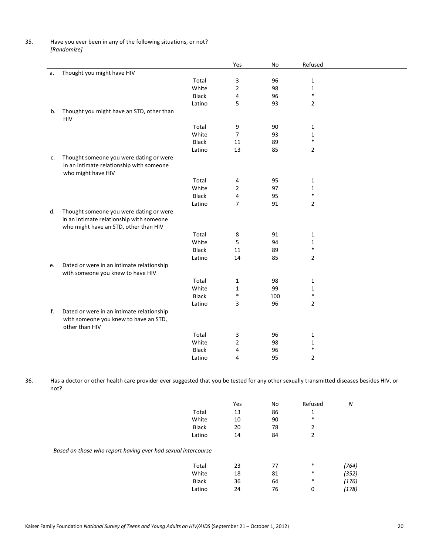35. Have you ever been in any of the following situations, or not? *[Randomize]* 

|    |                                           |              | Yes            | No  | Refused        |  |
|----|-------------------------------------------|--------------|----------------|-----|----------------|--|
| а. | Thought you might have HIV                |              |                |     |                |  |
|    |                                           | Total        | 3              | 96  | $\mathbf{1}$   |  |
|    |                                           | White        | $\overline{2}$ | 98  | $\mathbf{1}$   |  |
|    |                                           | <b>Black</b> | 4              | 96  | $\ast$         |  |
|    |                                           | Latino       | 5              | 93  | $\overline{2}$ |  |
| b. | Thought you might have an STD, other than |              |                |     |                |  |
|    | <b>HIV</b>                                |              |                |     |                |  |
|    |                                           | Total        | 9              | 90  | 1              |  |
|    |                                           | White        | $\overline{7}$ | 93  | 1              |  |
|    |                                           | <b>Black</b> | 11             | 89  | $\ast$         |  |
|    |                                           | Latino       | 13             | 85  | $\overline{2}$ |  |
| c. | Thought someone you were dating or were   |              |                |     |                |  |
|    | in an intimate relationship with someone  |              |                |     |                |  |
|    | who might have HIV                        |              |                |     |                |  |
|    |                                           | Total        | 4              | 95  | $\mathbf{1}$   |  |
|    |                                           | White        | $\overline{2}$ | 97  | $\mathbf{1}$   |  |
|    |                                           | <b>Black</b> | 4              | 95  | $\ast$         |  |
|    |                                           | Latino       | 7              | 91  | 2              |  |
| d. | Thought someone you were dating or were   |              |                |     |                |  |
|    | in an intimate relationship with someone  |              |                |     |                |  |
|    | who might have an STD, other than HIV     |              |                |     |                |  |
|    |                                           | Total        | 8              | 91  | 1              |  |
|    |                                           | White        | 5              | 94  | $\mathbf{1}$   |  |
|    |                                           | <b>Black</b> | 11             | 89  | $\ast$         |  |
|    |                                           | Latino       | 14             | 85  | $\overline{2}$ |  |
| e. | Dated or were in an intimate relationship |              |                |     |                |  |
|    | with someone you knew to have HIV         |              |                |     |                |  |
|    |                                           | Total        | 1              | 98  | 1              |  |
|    |                                           | White        | 1              | 99  | 1              |  |
|    |                                           | <b>Black</b> | $\ast$         | 100 | $\ast$         |  |
|    |                                           | Latino       | 3              | 96  | $\overline{2}$ |  |
| f. | Dated or were in an intimate relationship |              |                |     |                |  |
|    | with someone you knew to have an STD,     |              |                |     |                |  |
|    | other than HIV                            |              |                |     |                |  |
|    |                                           | Total        | 3              | 96  | 1              |  |
|    |                                           | White        | $\overline{2}$ | 98  | $\mathbf{1}$   |  |
|    |                                           | <b>Black</b> | 4              | 96  | $\ast$         |  |
|    |                                           | Latino       | 4              | 95  | $\overline{2}$ |  |

36. Has a doctor or other health care provider ever suggested that you be tested for any other sexually transmitted diseases besides HIV, or not?

|                                                              |              | Yes | No | Refused | N     |
|--------------------------------------------------------------|--------------|-----|----|---------|-------|
|                                                              | Total        | 13  | 86 |         |       |
|                                                              | White        | 10  | 90 | $\ast$  |       |
|                                                              | <b>Black</b> | 20  | 78 | 2       |       |
|                                                              | Latino       | 14  | 84 | 2       |       |
| Based on those who report having ever had sexual intercourse |              |     |    |         |       |
|                                                              | Total        | 23  | 77 | $\ast$  | (764) |
|                                                              | White        | 18  | 81 | $\ast$  | (352) |
|                                                              | Black        | 36  | 64 | $\ast$  | (176) |
|                                                              | Latino       | 24  | 76 | 0       | (178) |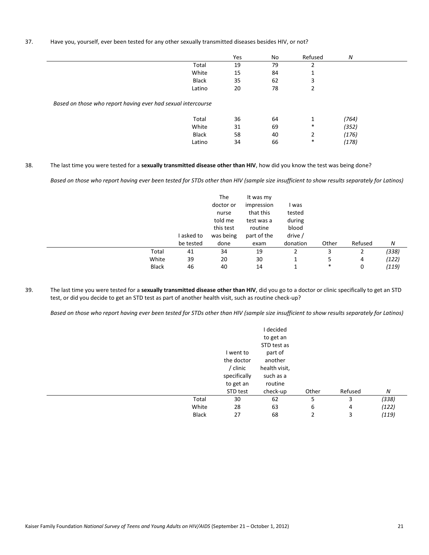#### 37. Have you, yourself, ever been tested for any other sexually transmitted diseases besides HIV, or not?

|                                                              | Yes | No | Refused                  | N     |  |
|--------------------------------------------------------------|-----|----|--------------------------|-------|--|
| Total                                                        | 19  | 79 |                          |       |  |
| White                                                        | 15  | 84 | $\overline{\phantom{a}}$ |       |  |
| Black                                                        | 35  | 62 | 3                        |       |  |
| Latino                                                       | 20  | 78 | C.                       |       |  |
| Based on those who report having ever had sexual intercourse |     |    |                          |       |  |
| Total                                                        | 36  | 64 | 1                        | (764) |  |
| White                                                        | 31  | 69 | $\ast$                   | (352) |  |
| Black                                                        | 58  | 40 | 2                        | (176) |  |
| Latino                                                       | 34  | 66 | $\ast$                   | (178) |  |

#### 38. The last time you were tested for a **sexually transmitted disease other than HIV**, how did you know the test was being done?

 *Based on those who report having ever been tested for STDs other than HIV (sample size insufficient to show results separately for Latinos)* 

|              | I asked to | The<br>doctor or<br>nurse<br>told me<br>this test<br>was being | It was my<br>impression<br>that this<br>test was a<br>routine<br>part of the | l was<br>tested<br>during<br>blood<br>drive / |        |         |       |
|--------------|------------|----------------------------------------------------------------|------------------------------------------------------------------------------|-----------------------------------------------|--------|---------|-------|
|              | be tested  | done                                                           | exam                                                                         | donation                                      | Other  | Refused | N     |
| Total        | 41         | 34                                                             | 19                                                                           |                                               | 3      |         | (338) |
| White        | 39         | 20                                                             | 30                                                                           |                                               | 5      | 4       | (122) |
| <b>Black</b> | 46         | 40                                                             | 14                                                                           |                                               | $\ast$ | 0       | (119) |

39. The last time you were tested for a **sexually transmitted disease other than HIV**, did you go to a doctor or clinic specifically to get an STD test, or did you decide to get an STD test as part of another health visit, such as routine check-up?

 *Based on those who report having ever been tested for STDs other than HIV (sample size insufficient to show results separately for Latinos)* 

|              |              | I decided     |       |         |       |
|--------------|--------------|---------------|-------|---------|-------|
|              |              | to get an     |       |         |       |
|              |              | STD test as   |       |         |       |
|              | I went to    | part of       |       |         |       |
|              | the doctor   | another       |       |         |       |
|              | / clinic     | health visit, |       |         |       |
|              | specifically | such as a     |       |         |       |
|              | to get an    | routine       |       |         |       |
|              | STD test     | check-up      | Other | Refused | N     |
| Total        | 30           | 62            | 5     | 3       | (338) |
| White        | 28           | 63            | 6     | 4       | (122) |
| <b>Black</b> | 27           | 68            | 2     | 3       | (119) |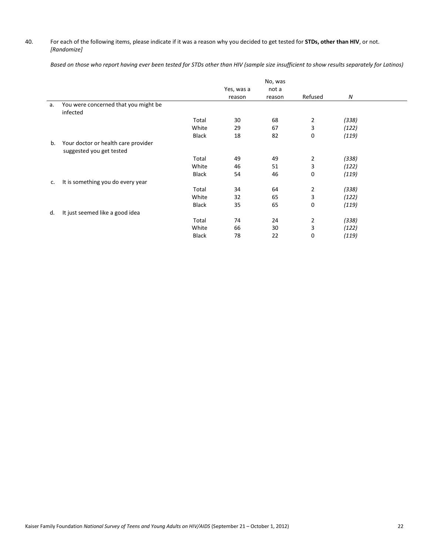## 40. For each of the following items, please indicate if it was a reason why you decided to get tested for **STDs, other than HIV**, or not. *[Randomize]*

 *Based on those who report having ever been tested for STDs other than HIV (sample size insufficient to show results separately for Latinos)* 

|    |                                                  |              |            | No, was |                |       |  |
|----|--------------------------------------------------|--------------|------------|---------|----------------|-------|--|
|    |                                                  |              | Yes, was a | not a   |                |       |  |
|    |                                                  |              | reason     | reason  | Refused        | Ν     |  |
| a. | You were concerned that you might be<br>infected |              |            |         |                |       |  |
|    |                                                  | Total        | 30         | 68      | $\overline{2}$ | (338) |  |
|    |                                                  | White        | 29         | 67      | 3              | (122) |  |
|    |                                                  | <b>Black</b> | 18         | 82      | 0              | (119) |  |
| b. | Your doctor or health care provider              |              |            |         |                |       |  |
|    | suggested you get tested                         |              |            |         |                |       |  |
|    |                                                  | Total        | 49         | 49      | $\overline{2}$ | (338) |  |
|    |                                                  | White        | 46         | 51      | 3              | (122) |  |
|    |                                                  | <b>Black</b> | 54         | 46      | $\mathbf 0$    | (119) |  |
| c. | It is something you do every year                |              |            |         |                |       |  |
|    |                                                  | Total        | 34         | 64      | 2              | (338) |  |
|    |                                                  | White        | 32         | 65      | 3              | (122) |  |
|    |                                                  | <b>Black</b> | 35         | 65      | $\Omega$       | (119) |  |
| d. | It just seemed like a good idea                  |              |            |         |                |       |  |
|    |                                                  | Total        | 74         | 24      | $\overline{2}$ | (338) |  |
|    |                                                  | White        | 66         | 30      | 3              | (122) |  |
|    |                                                  | <b>Black</b> | 78         | 22      | 0              | (119) |  |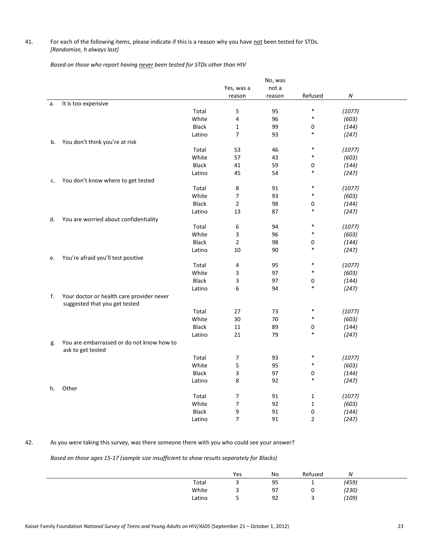## 41. For each of the following items, please indicate if this is a reason why you have not been tested for STDs. *[Randomize, h always last]*

*Based on those who report having never been tested for STDs other than HIV* 

|    |                                                                |              |                | No, was |                |                  |  |
|----|----------------------------------------------------------------|--------------|----------------|---------|----------------|------------------|--|
|    |                                                                |              | Yes, was a     | not a   |                |                  |  |
|    |                                                                |              | reason         | reason  | Refused        | $\boldsymbol{N}$ |  |
| a. | It is too expensive                                            |              |                |         |                |                  |  |
|    |                                                                | Total        | 5              | 95      | $\ast$         | (1077)           |  |
|    |                                                                | White        | 4              | 96      | $\ast$         | (603)            |  |
|    |                                                                | <b>Black</b> | $\mathbf{1}$   | 99      | 0              | (144)            |  |
|    |                                                                | Latino       | 7              | 93      | $\ast$         | (247)            |  |
| b. | You don't think you're at risk                                 |              |                |         |                |                  |  |
|    |                                                                | Total        | 53             | 46      | $\ast$         | (1077)           |  |
|    |                                                                | White        | 57             | 43      | $\ast$         | (603)            |  |
|    |                                                                | <b>Black</b> | 41             | 59      | 0              | (144)            |  |
|    |                                                                | Latino       | 45             | 54      | $\ast$         | (247)            |  |
| c. | You don't know where to get tested                             |              |                |         |                |                  |  |
|    |                                                                | Total        | 8              | 91      | $\ast$         | (1077)           |  |
|    |                                                                | White        | $\overline{7}$ | 93      | $\ast$         | (603)            |  |
|    |                                                                | <b>Black</b> | $\overline{2}$ | 98      | 0              | (144)            |  |
|    |                                                                | Latino       | 13             | 87      | $\ast$         | (247)            |  |
| d. | You are worried about confidentiality                          |              |                |         |                |                  |  |
|    |                                                                | Total        | 6              | 94      | $\ast$         | (1077)           |  |
|    |                                                                | White        | 3              | 96      | $\ast$         | (603)            |  |
|    |                                                                | <b>Black</b> | $\overline{2}$ | 98      | 0              | (144)            |  |
|    |                                                                | Latino       | 10             | 90      | $\ast$         | (247)            |  |
| e. | You're afraid you'll test positive                             |              |                |         |                |                  |  |
|    |                                                                | Total        | 4              | 95      | $\ast$         | (1077)           |  |
|    |                                                                | White        | 3              | 97      | $\ast$         | (603)            |  |
|    |                                                                | <b>Black</b> | 3              | 97      | 0              | (144)            |  |
|    |                                                                | Latino       | 6              | 94      | $\ast$         | (247)            |  |
| f. | Your doctor or health care provider never                      |              |                |         |                |                  |  |
|    | suggested that you get tested                                  |              |                |         |                |                  |  |
|    |                                                                | Total        | 27             | 73      | $\ast$         | (1077)           |  |
|    |                                                                | White        | 30             | 70      | $\ast$         | (603)            |  |
|    |                                                                | <b>Black</b> | 11             | 89      | 0              | (144)            |  |
|    |                                                                | Latino       | 21             | 79      | $\ast$         | (247)            |  |
| g. | You are embarrassed or do not know how to<br>ask to get tested |              |                |         |                |                  |  |
|    |                                                                | Total        | 7              | 93      | $\ast$         | (1077)           |  |
|    |                                                                | White        | 5              | 95      | $\ast$         | (603)            |  |
|    |                                                                | <b>Black</b> | 3              | 97      | 0              | (144)            |  |
|    |                                                                | Latino       | 8              | 92      | $\ast$         | (247)            |  |
| h. | Other                                                          |              |                |         |                |                  |  |
|    |                                                                | Total        | 7              | 91      | 1              | (1077)           |  |
|    |                                                                | White        | 7              | 92      | $\mathbf{1}$   | (603)            |  |
|    |                                                                | <b>Black</b> | 9              | 91      | 0              | (144)            |  |
|    |                                                                | Latino       | $\overline{7}$ | 91      | $\overline{2}$ | (247)            |  |
|    |                                                                |              |                |         |                |                  |  |

## 42. As you were taking this survey, was there someone there with you who could see your answer?

 *Based on those ages 15-17 (sample size insufficient to show results separately for Blacks)* 

|        | Yes | No | Refused | N     |  |
|--------|-----|----|---------|-------|--|
| Total  | ٠   | 95 | -       | (459) |  |
| White  | ٠   | 97 | ∼       | (230) |  |
| Latino | ٠   | 92 | ∽<br>٠  | (109) |  |